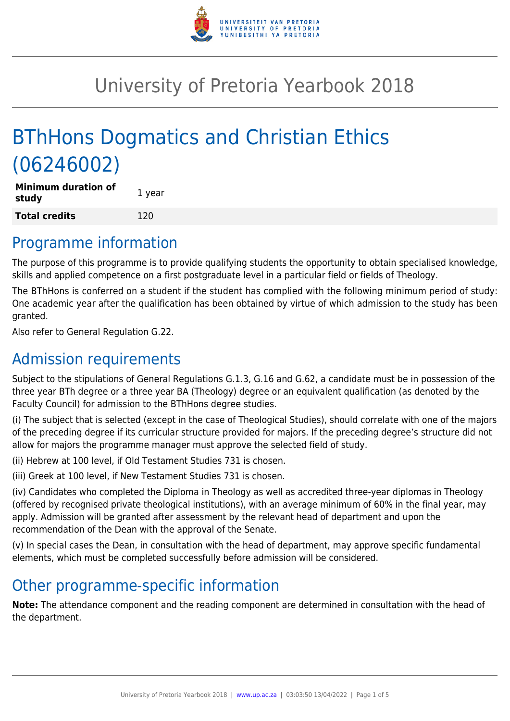

# University of Pretoria Yearbook 2018

# BThHons Dogmatics and Christian Ethics (06246002)

| Minimum duration of<br>study | 1 year |
|------------------------------|--------|
| <b>Total credits</b>         | 120    |

## Programme information

The purpose of this programme is to provide qualifying students the opportunity to obtain specialised knowledge, skills and applied competence on a first postgraduate level in a particular field or fields of Theology.

The BThHons is conferred on a student if the student has complied with the following minimum period of study: One academic year after the qualification has been obtained by virtue of which admission to the study has been granted.

Also refer to General Regulation G.22.

# Admission requirements

Subject to the stipulations of General Regulations G.1.3, G.16 and G.62, a candidate must be in possession of the three year BTh degree or a three year BA (Theology) degree or an equivalent qualification (as denoted by the Faculty Council) for admission to the BThHons degree studies.

(i) The subject that is selected (except in the case of Theological Studies), should correlate with one of the majors of the preceding degree if its curricular structure provided for majors. If the preceding degree's structure did not allow for majors the programme manager must approve the selected field of study.

(ii) Hebrew at 100 level, if Old Testament Studies 731 is chosen.

(iii) Greek at 100 level, if New Testament Studies 731 is chosen.

(iv) Candidates who completed the Diploma in Theology as well as accredited three-year diplomas in Theology (offered by recognised private theological institutions), with an average minimum of 60% in the final year, may apply. Admission will be granted after assessment by the relevant head of department and upon the recommendation of the Dean with the approval of the Senate.

(v) In special cases the Dean, in consultation with the head of department, may approve specific fundamental elements, which must be completed successfully before admission will be considered.

# Other programme-specific information

**Note:** The attendance component and the reading component are determined in consultation with the head of the department.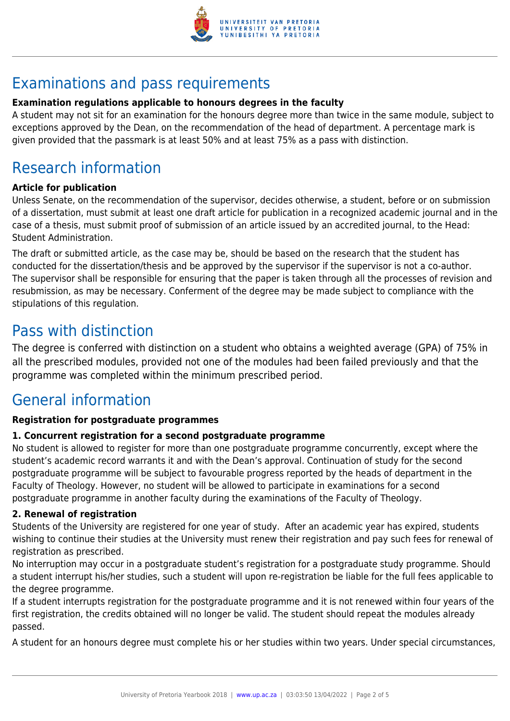

# Examinations and pass requirements

#### **Examination regulations applicable to honours degrees in the faculty**

A student may not sit for an examination for the honours degree more than twice in the same module, subject to exceptions approved by the Dean, on the recommendation of the head of department. A percentage mark is given provided that the passmark is at least 50% and at least 75% as a pass with distinction.

# Research information

#### **Article for publication**

Unless Senate, on the recommendation of the supervisor, decides otherwise, a student, before or on submission of a dissertation, must submit at least one draft article for publication in a recognized academic journal and in the case of a thesis, must submit proof of submission of an article issued by an accredited journal, to the Head: Student Administration.

The draft or submitted article, as the case may be, should be based on the research that the student has conducted for the dissertation/thesis and be approved by the supervisor if the supervisor is not a co-author. The supervisor shall be responsible for ensuring that the paper is taken through all the processes of revision and resubmission, as may be necessary. Conferment of the degree may be made subject to compliance with the stipulations of this regulation.

## Pass with distinction

The degree is conferred with distinction on a student who obtains a weighted average (GPA) of 75% in all the prescribed modules, provided not one of the modules had been failed previously and that the programme was completed within the minimum prescribed period.

# General information

#### **Registration for postgraduate programmes**

#### **1. Concurrent registration for a second postgraduate programme**

No student is allowed to register for more than one postgraduate programme concurrently, except where the student's academic record warrants it and with the Dean's approval. Continuation of study for the second postgraduate programme will be subject to favourable progress reported by the heads of department in the Faculty of Theology. However, no student will be allowed to participate in examinations for a second postgraduate programme in another faculty during the examinations of the Faculty of Theology.

#### **2. Renewal of registration**

Students of the University are registered for one year of study. After an academic year has expired, students wishing to continue their studies at the University must renew their registration and pay such fees for renewal of registration as prescribed.

No interruption may occur in a postgraduate student's registration for a postgraduate study programme. Should a student interrupt his/her studies, such a student will upon re-registration be liable for the full fees applicable to the degree programme.

If a student interrupts registration for the postgraduate programme and it is not renewed within four years of the first registration, the credits obtained will no longer be valid. The student should repeat the modules already passed.

A student for an honours degree must complete his or her studies within two years. Under special circumstances,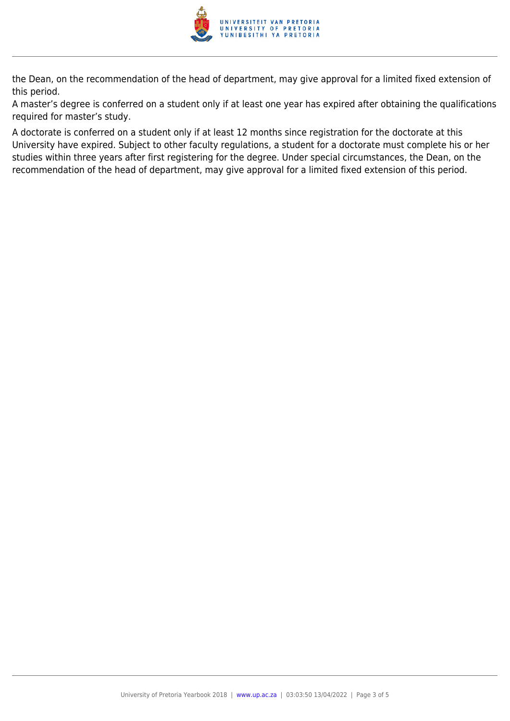

the Dean, on the recommendation of the head of department, may give approval for a limited fixed extension of this period.

A master's degree is conferred on a student only if at least one year has expired after obtaining the qualifications required for master's study.

A doctorate is conferred on a student only if at least 12 months since registration for the doctorate at this University have expired. Subject to other faculty regulations, a student for a doctorate must complete his or her studies within three years after first registering for the degree. Under special circumstances, the Dean, on the recommendation of the head of department, may give approval for a limited fixed extension of this period.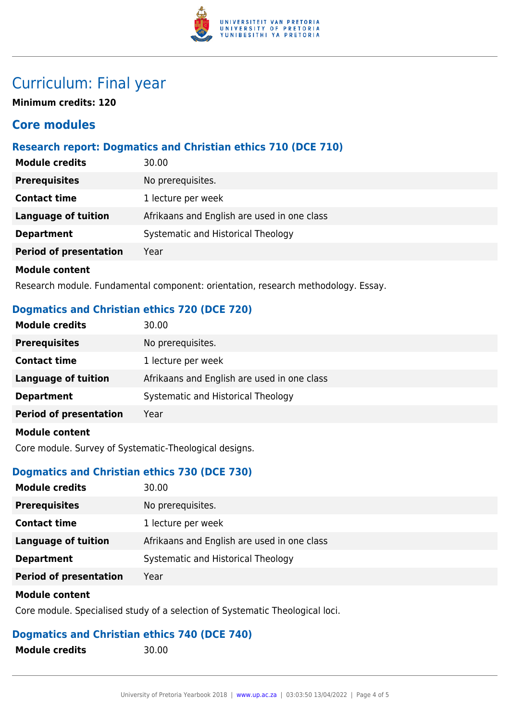

# Curriculum: Final year

**Minimum credits: 120**

#### **Core modules**

#### **Research report: Dogmatics and Christian ethics 710 (DCE 710)**

| <b>Module credits</b>         | 30.00                                       |
|-------------------------------|---------------------------------------------|
| <b>Prerequisites</b>          | No prerequisites.                           |
| <b>Contact time</b>           | 1 lecture per week                          |
| Language of tuition           | Afrikaans and English are used in one class |
| <b>Department</b>             | Systematic and Historical Theology          |
| <b>Period of presentation</b> | Year                                        |
| <b>Module content</b>         |                                             |

Research module. Fundamental component: orientation, research methodology. Essay.

#### **Dogmatics and Christian ethics 720 (DCE 720)**

| <b>Module credits</b>         | 30.00                                       |
|-------------------------------|---------------------------------------------|
| <b>Prerequisites</b>          | No prerequisites.                           |
| <b>Contact time</b>           | 1 lecture per week                          |
| <b>Language of tuition</b>    | Afrikaans and English are used in one class |
| <b>Department</b>             | Systematic and Historical Theology          |
| <b>Period of presentation</b> | Year                                        |
| <b>Module content</b>         |                                             |

Core module. Survey of Systematic-Theological designs.

#### **Dogmatics and Christian ethics 730 (DCE 730)**

| <b>Module credits</b>         | 30.00                                       |
|-------------------------------|---------------------------------------------|
| <b>Prerequisites</b>          | No prerequisites.                           |
| <b>Contact time</b>           | 1 lecture per week                          |
| Language of tuition           | Afrikaans and English are used in one class |
| <b>Department</b>             | Systematic and Historical Theology          |
| <b>Period of presentation</b> | Year                                        |

#### **Module content**

Core module. Specialised study of a selection of Systematic Theological loci.

#### **Dogmatics and Christian ethics 740 (DCE 740)**

**Module credits** 30.00